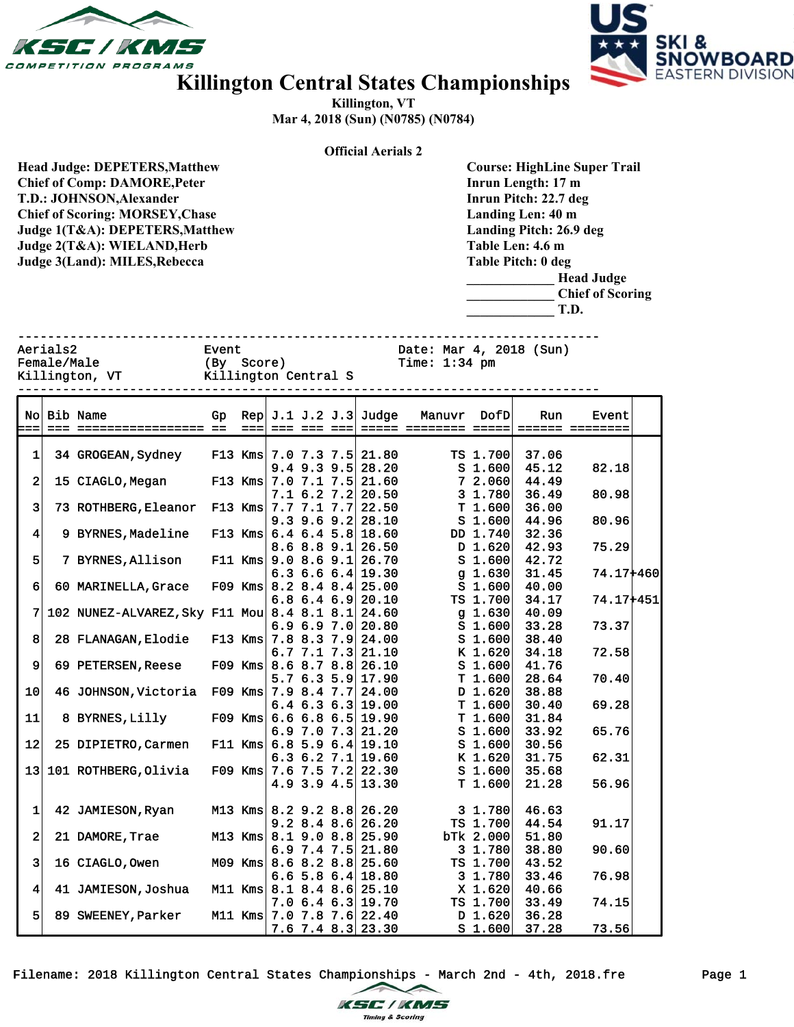



## **Killington Central States Championships**

**Killington, VT Mar 4, 2018 (Sun) (N0785) (N0784)**

| <b>Official Aerials 2</b>              |             |                                            |                               |                      |                           |                   |                         |                             |                      |                                     |       |                         |  |  |  |
|----------------------------------------|-------------|--------------------------------------------|-------------------------------|----------------------|---------------------------|-------------------|-------------------------|-----------------------------|----------------------|-------------------------------------|-------|-------------------------|--|--|--|
|                                        |             | <b>Head Judge: DEPETERS, Matthew</b>       |                               |                      |                           |                   |                         |                             |                      | <b>Course: HighLine Super Trail</b> |       |                         |  |  |  |
|                                        |             | <b>Chief of Comp: DAMORE, Peter</b>        |                               |                      |                           |                   |                         | Inrun Length: 17 m          |                      |                                     |       |                         |  |  |  |
| T.D.: JOHNSON, Alexander               |             |                                            |                               |                      |                           |                   |                         |                             |                      | Inrun Pitch: 22.7 deg               |       |                         |  |  |  |
|                                        |             |                                            |                               |                      |                           |                   |                         |                             |                      |                                     |       |                         |  |  |  |
| <b>Chief of Scoring: MORSEY, Chase</b> |             |                                            |                               |                      |                           |                   |                         |                             |                      | Landing Len: 40 m                   |       |                         |  |  |  |
| Judge 1(T&A): DEPETERS, Matthew        |             |                                            |                               |                      |                           |                   | Landing Pitch: 26.9 deg |                             |                      |                                     |       |                         |  |  |  |
|                                        |             | Judge 2(T&A): WIELAND, Herb                |                               |                      |                           |                   |                         |                             |                      | Table Len: 4.6 m                    |       |                         |  |  |  |
|                                        |             |                                            |                               |                      |                           |                   |                         |                             |                      | Table Pitch: 0 deg                  |       |                         |  |  |  |
|                                        |             | Judge 3(Land): MILES, Rebecca              |                               |                      |                           |                   |                         |                             |                      |                                     |       |                         |  |  |  |
|                                        |             |                                            |                               |                      |                           |                   |                         |                             |                      |                                     |       | <b>Head Judge</b>       |  |  |  |
|                                        |             |                                            |                               |                      |                           |                   |                         |                             |                      |                                     |       | <b>Chief of Scoring</b> |  |  |  |
|                                        |             |                                            |                               |                      |                           |                   |                         |                             |                      | T.D.                                |       |                         |  |  |  |
|                                        |             |                                            |                               |                      |                           |                   |                         |                             |                      |                                     |       |                         |  |  |  |
|                                        |             |                                            |                               |                      |                           |                   |                         |                             |                      |                                     |       |                         |  |  |  |
| Aerials2<br>Date: Mar 4, 2018 (Sun)    |             |                                            |                               |                      |                           |                   |                         |                             |                      |                                     |       |                         |  |  |  |
|                                        |             |                                            | Event                         |                      |                           |                   |                         |                             |                      |                                     |       |                         |  |  |  |
|                                        | Female/Male |                                            | (By Score)<br>Time: $1:34$ pm |                      |                           |                   |                         |                             |                      |                                     |       |                         |  |  |  |
|                                        |             | Killington, VT                             |                               | Killington Central S |                           |                   |                         |                             |                      |                                     |       |                         |  |  |  |
|                                        |             |                                            |                               |                      |                           |                   |                         |                             |                      |                                     |       |                         |  |  |  |
|                                        |             |                                            |                               |                      |                           |                   |                         |                             |                      |                                     |       |                         |  |  |  |
|                                        |             | No Bib Name                                | Gp                            |                      |                           |                   |                         | Rep $J.1 J.2 J.3$ Judge     | Manuvr               | DofD                                | Run   | Event                   |  |  |  |
|                                        |             |                                            |                               | $==$                 |                           | === === ===       |                         |                             | ===== ======== ===== |                                     |       | ====== ========         |  |  |  |
|                                        |             |                                            |                               |                      |                           |                   |                         |                             |                      |                                     |       |                         |  |  |  |
| 1                                      |             | 34 GROGEAN, Sydney                         |                               |                      | F13 Kms $7.0$ 7.3 7.5     |                   |                         | 21.80                       |                      | TS 1.700                            | 37.06 |                         |  |  |  |
|                                        |             |                                            |                               |                      |                           | 9.4 9.3 9.5       |                         | 28.20                       |                      | S <sub>1.600</sub>                  | 45.12 | 82.18                   |  |  |  |
| 2                                      |             | 15 CIAGLO, Megan                           |                               | $F13$ Kms            |                           | 7.0 7.1 7.5       |                         | 21.60                       |                      | 7 2.060                             | 44.49 |                         |  |  |  |
|                                        |             |                                            |                               |                      |                           | 7.1 6.2 7.2       |                         | 20.50                       |                      | 3 1.780                             | 36.49 | 80.98                   |  |  |  |
| 3                                      |             | 73 ROTHBERG, Eleanor                       |                               |                      | F13 Kms $7.7$ $7.1$ $7.7$ |                   |                         | 22.50                       |                      | T1.600                              | 36.00 |                         |  |  |  |
|                                        |             |                                            |                               |                      |                           | 9.3 9.6 9.2       |                         | 28.10                       |                      | $S$ 1.600                           | 44.96 | 80.96                   |  |  |  |
| 4                                      |             | 9 BYRNES, Madeline                         |                               | $F13$ Kms            |                           | $6.4$ $6.4$ $5.8$ |                         | 18.60                       |                      | DD 1.740                            | 32.36 |                         |  |  |  |
|                                        |             |                                            |                               |                      |                           | 8.6 8.8 9.1       |                         | 26.50                       |                      | $D$ 1.620                           | 42.93 | 75.29                   |  |  |  |
| 5                                      |             | 7 BYRNES, Allison                          |                               | $F11$ Kms            |                           | 9.08.69.1         |                         | 26.70                       |                      | $S$ 1.600                           | 42.72 |                         |  |  |  |
|                                        |             |                                            |                               |                      |                           | 6.3 6.6 6.4       |                         | 19.30                       |                      | g $1.630$                           | 31.45 | 74.17+460               |  |  |  |
| 6                                      |             | 60 MARINELLA, Grace                        |                               |                      | F09 Kms $8.2$ 8.4 8.4     |                   |                         | 25.00                       |                      | S <sub>1.600</sub>                  | 40.00 |                         |  |  |  |
|                                        |             |                                            |                               |                      |                           | 6.8 6.4 6.9       |                         | 20.10                       |                      | TS 1.700                            | 34.17 | 74.17+451               |  |  |  |
| 7                                      |             | 102 NUNEZ-ALVAREZ, Sky F11 Mou 8.4 8.1 8.1 |                               |                      |                           |                   |                         | 24.60                       |                      | $g$ 1.630                           | 40.09 |                         |  |  |  |
|                                        |             |                                            |                               |                      |                           | 6.96.97.0         |                         | 20.80                       |                      | $S$ 1.600                           | 33.28 | 73.37                   |  |  |  |
| 8                                      |             | 28 FLANAGAN, Elodie                        |                               |                      | F13 Kms $7.8$ 8.3 7.9     |                   |                         | 24.00                       |                      | $S$ 1.600                           | 38.40 |                         |  |  |  |
|                                        |             |                                            |                               |                      |                           |                   |                         |                             |                      |                                     | 34.18 |                         |  |  |  |
|                                        |             |                                            |                               |                      |                           | 6.7 7.1 7.3       |                         | 21.10                       |                      | K 1.620                             |       | 72.58                   |  |  |  |
| 9                                      |             | 69 PETERSEN, Reese                         |                               | $F09$ Kms            |                           | 8.6 8.7 8.8       |                         | 26.10                       |                      | S <sub>1.600</sub>                  | 41.76 |                         |  |  |  |
|                                        |             |                                            |                               |                      |                           | 5.7 6.3 5.9       |                         | 17.90                       |                      | T 1.600                             | 28.64 | 70.40                   |  |  |  |
| 10                                     |             | 46 JOHNSON, Victoria F09 Kms               |                               |                      |                           | 7.9 8.4 7.7       |                         | 24.00                       |                      | D 1.620                             | 38.88 |                         |  |  |  |
|                                        |             |                                            |                               |                      |                           | 6.46.36.3         |                         | 19.00                       |                      | T 1.600                             | 30.40 | 69.28                   |  |  |  |
| 11                                     |             | 8 BYRNES, Lilly                            |                               |                      |                           |                   |                         | F09 Kms $6.6$ 6.8 6.5 19.90 |                      | T1.600                              | 31.84 |                         |  |  |  |
|                                        |             |                                            |                               |                      |                           |                   |                         | 6.9 7.0 7.3 $21.20$         |                      | $S$ 1.600                           | 33.92 | 65.76                   |  |  |  |
| 12                                     |             | 25 DIPIETRO, Carmen                        |                               | $F11$ Kms            |                           | 6.8 5.9 6.4       |                         | 19.10                       |                      | S <sub>1.600</sub>                  | 30.56 |                         |  |  |  |
|                                        |             |                                            |                               |                      |                           | $6.3$ $6.2$ $7.1$ |                         | 19.60                       |                      | K 1.620                             | 31.75 | 62.31                   |  |  |  |
| 13 <sub>1</sub>                        |             | 101 ROTHBERG, Olivia                       |                               | $F09$ Kms            |                           | $7.6$ $7.5$ $7.2$ |                         | 22.30                       |                      | S <sub>1.600</sub>                  | 35.68 |                         |  |  |  |
|                                        |             |                                            |                               |                      |                           | 4.9 3.9 4.5       |                         | 13.30                       |                      | T1.600                              | 21.28 | 56.96                   |  |  |  |
|                                        |             |                                            |                               |                      |                           |                   |                         |                             |                      |                                     |       |                         |  |  |  |
| $\mathbf 1$                            |             | 42 JAMIESON, Ryan                          |                               |                      | M13 Kms $8.2$ 9.2 8.8     |                   |                         | 26.20                       |                      | 3 1.780                             | 46.63 |                         |  |  |  |
|                                        |             |                                            |                               |                      |                           | 9.2 8.4 8.6       |                         | 26.20                       |                      | TS 1.700                            | 44.54 | 91.17                   |  |  |  |
| $\bf{2}$                               |             | 21 DAMORE, Trae                            |                               | $M13$ Kms            |                           | 8.1 9.0 8.8       |                         | 25.90                       |                      | bTk 2.000                           | 51.80 |                         |  |  |  |
|                                        |             |                                            |                               |                      |                           | $6.9$ 7.4 7.5     |                         | 21.80                       |                      | 3 1.780                             | 38.80 | 90.60                   |  |  |  |
| 3                                      |             |                                            |                               | $M09$ Kms            |                           |                   |                         | 25.60                       |                      |                                     | 43.52 |                         |  |  |  |
|                                        |             | 16 CIAGLO, Owen                            |                               |                      |                           | 8.6 8.2 8.8       |                         |                             |                      | TS 1.700                            |       |                         |  |  |  |
|                                        |             |                                            |                               |                      |                           | 6.6 5.8 6.4       |                         | 18.80                       |                      | 3 1.780                             | 33.46 | 76.98                   |  |  |  |
| $\vert$ 4                              |             | 41 JAMIESON, Joshua                        |                               |                      | M11 Kms $8.1$ 8.4 8.6     |                   |                         | 25.10                       |                      | X 1.620                             | 40.66 |                         |  |  |  |
|                                        |             |                                            |                               |                      |                           | 7.06.46.3         |                         | 19.70                       |                      | TS 1.700                            | 33.49 | 74.15                   |  |  |  |
| 5                                      |             | 89 SWEENEY, Parker                         |                               | M11 Kms              |                           |                   |                         | $7.0$ $7.8$ $7.6$ 22.40     |                      | D 1.620                             | 36.28 |                         |  |  |  |
|                                        |             |                                            |                               |                      |                           |                   |                         | $7.6$ $7.4$ $8.3$ 23.30     |                      | S <sub>1.600</sub>                  | 37.28 | 73.56                   |  |  |  |

Filename: 2018 Killington Central States Championships - March 2nd - 4th, 2018.fre Page 1